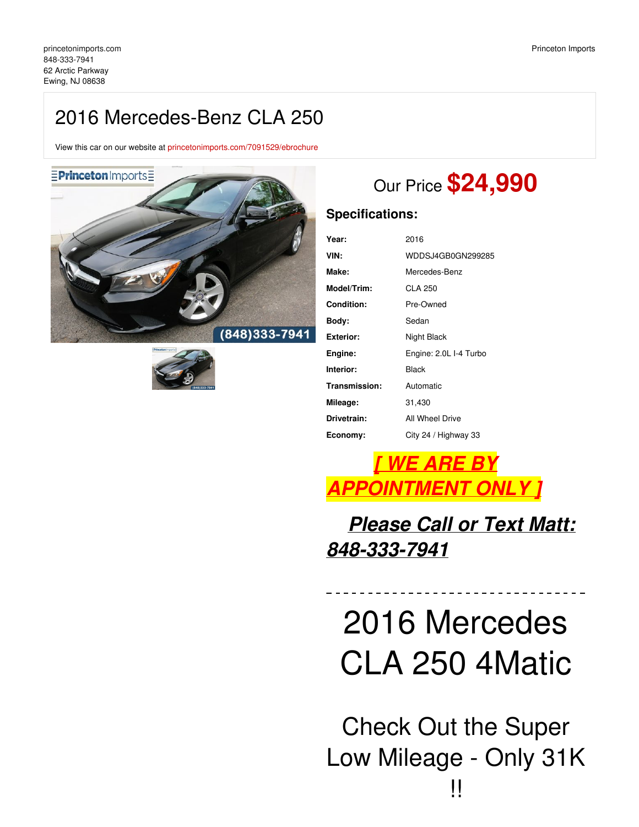# 2016 Mercedes-Benz CLA 250

View this car on our website at [princetonimports.com/7091529/ebrochure](https://princetonimports.com/vehicle/7091529/2016-mercedes-benz-cla-250-ewing-nj-08638/7091529/ebrochure)





# Our Price **\$24,990**

# **Specifications:**

| 2016                   |
|------------------------|
| WDDSJ4GB0GN299285      |
| Mercedes-Benz          |
| CLA 250                |
| Pre-Owned              |
| Sedan                  |
| Night Black            |
| Engine: 2.0L I-4 Turbo |
| Black                  |
| Automatic              |
| 31,430                 |
| All Wheel Drive        |
| City 24 / Highway 33   |
|                        |

# *[ WE ARE BY APPOINTMENT ONLY ]*

*Please Call or Text Matt: 848-333-7941*

# 2016 Mercedes CLA 250 4Matic

Check Out the Super Low Mileage - Only 31K !!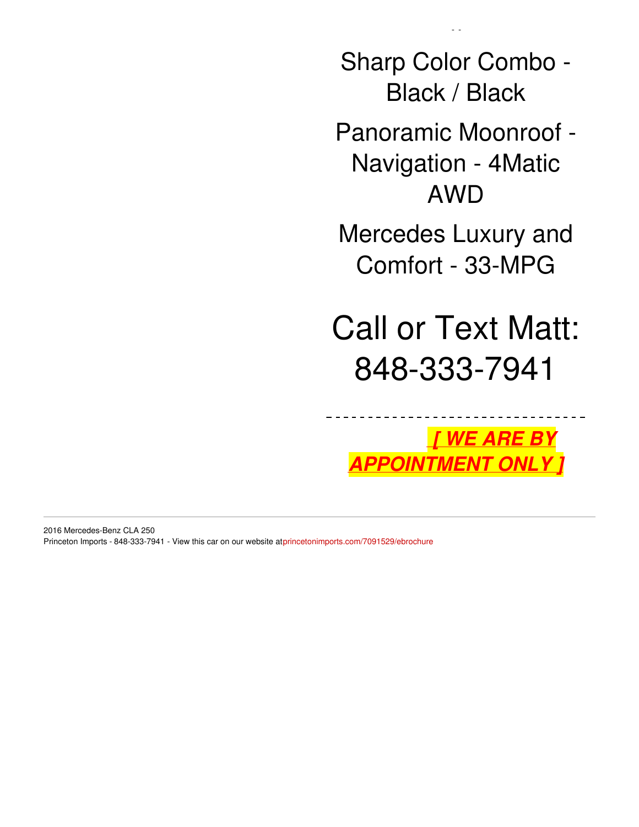Sharp Color Combo - Black / Black

!!!

Panoramic Moonroof - Navigation - 4Matic AWD

Mercedes Luxury and Comfort - 33-MPG

Call or Text Matt: 848-333-7941

*[ WE ARE BY APPOINTMENT ONLY ]*

2016 Mercedes-Benz CLA 250 Princeton Imports - 848-333-7941 - View this car on our website at[princetonimports.com/7091529/ebrochure](https://princetonimports.com/vehicle/7091529/2016-mercedes-benz-cla-250-ewing-nj-08638/7091529/ebrochure)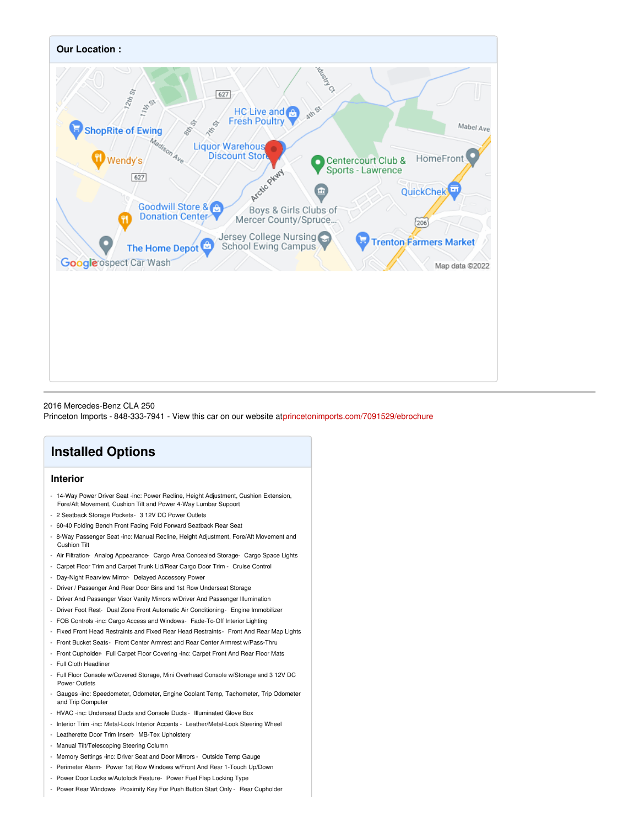

#### 2016 Mercedes-Benz CLA 250

Princeton Imports - 848-333-7941 - View this car on our website at[princetonimports.com/7091529/ebrochure](https://princetonimports.com/vehicle/7091529/2016-mercedes-benz-cla-250-ewing-nj-08638/7091529/ebrochure)

# **Installed Options**

## **Interior**

- 14-Way Power Driver Seat -inc: Power Recline, Height Adjustment, Cushion Extension, Fore/Aft Movement, Cushion Tilt and Power 4-Way Lumbar Support
- 2 Seatback Storage Pockets- 3 12V DC Power Outlets
- 60-40 Folding Bench Front Facing Fold Forward Seatback Rear Seat
- 8-Way Passenger Seat -inc: Manual Recline, Height Adjustment, Fore/Aft Movement and Cushion Tilt
- Air Filtration- Analog Appearance- Cargo Area Concealed Storage- Cargo Space Lights
- Carpet Floor Trim and Carpet Trunk Lid/Rear Cargo Door Trim Cruise Control
- Day-Night Rearview Mirror- Delayed Accessory Power
- Driver / Passenger And Rear Door Bins and 1st Row Underseat Storage
- Driver And Passenger Visor Vanity Mirrors w/Driver And Passenger Illumination
- Driver Foot Rest- Dual Zone Front Automatic Air Conditioning- Engine Immobilizer
- FOB Controls -inc: Cargo Access and Windows- Fade-To-Off Interior Lighting
- Fixed Front Head Restraints and Fixed Rear Head Restraints- Front And Rear Map Lights
- Front Bucket Seats- Front Center Armrest and Rear Center Armrest w/Pass-Thru
- Front Cupholder- Full Carpet Floor Covering -inc: Carpet Front And Rear Floor Mats
- Full Cloth Headliner
- Full Floor Console w/Covered Storage, Mini Overhead Console w/Storage and 3 12V DC Power Outlets
- Gauges -inc: Speedometer, Odometer, Engine Coolant Temp, Tachometer, Trip Odometer and Trip Computer
- HVAC -inc: Underseat Ducts and Console Ducts Illuminated Glove Box
- Interior Trim -inc: Metal-Look Interior Accents Leather/Metal-Look Steering Wheel
- Leatherette Door Trim Insert- MB-Tex Upholstery
- Manual Tilt/Telescoping Steering Column
- Memory Settings -inc: Driver Seat and Door Mirrors Outside Temp Gauge
- Perimeter Alarm- Power 1st Row Windows w/Front And Rear 1-Touch Up/Down
- Power Door Locks w/Autolock Feature- Power Fuel Flap Locking Type
- Power Rear Windows- Proximity Key For Push Button Start Only Rear Cupholder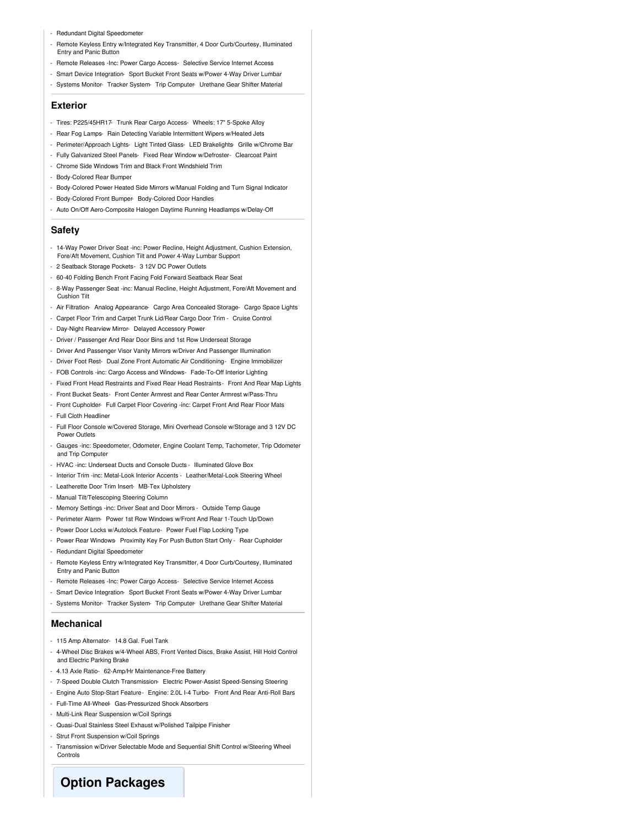- Redundant Digital Speedometer
- Remote Keyless Entry w/Integrated Key Transmitter, 4 Door Curb/Courtesy, Illuminated Entry and Panic Button
- Remote Releases -Inc: Power Cargo Access- Selective Service Internet Access
- Smart Device Integration- Sport Bucket Front Seats w/Power 4-Way Driver Lumbar
- Systems Monitor- Tracker System- Trip Computer- Urethane Gear Shifter Material

#### **Exterior**

- Tires: P225/45HR17- Trunk Rear Cargo Access- Wheels: 17" 5-Spoke Alloy
- Rear Fog Lamps- Rain Detecting Variable Intermittent Wipers w/Heated Jets
- Perimeter/Approach Lights- Light Tinted Glass- LED Brakelights- Grille w/Chrome Bar
- Fully Galvanized Steel Panels- Fixed Rear Window w/Defroster- Clearcoat Paint
- Chrome Side Windows Trim and Black Front Windshield Trim
- Body-Colored Rear Bumper
- Body-Colored Power Heated Side Mirrors w/Manual Folding and Turn Signal Indicator
- Body-Colored Front Bumper- Body-Colored Door Handles
- Auto On/Off Aero-Composite Halogen Daytime Running Headlamps w/Delay-Off

#### **Safety**

- 14-Way Power Driver Seat -inc: Power Recline, Height Adjustment, Cushion Extension, Fore/Aft Movement, Cushion Tilt and Power 4-Way Lumbar Support
- 2 Seatback Storage Pockets- 3 12V DC Power Outlets
- 60-40 Folding Bench Front Facing Fold Forward Seatback Rear Seat
- 8-Way Passenger Seat -inc: Manual Recline, Height Adjustment, Fore/Aft Movement and Cushion Tilt
- Air Filtration- Analog Appearance- Cargo Area Concealed Storage- Cargo Space Lights
- Carpet Floor Trim and Carpet Trunk Lid/Rear Cargo Door Trim Cruise Control
- Day-Night Rearview Mirror- Delayed Accessory Power
- Driver / Passenger And Rear Door Bins and 1st Row Underseat Storage
- Driver And Passenger Visor Vanity Mirrors w/Driver And Passenger Illumination
- Driver Foot Rest- Dual Zone Front Automatic Air Conditioning- Engine Immobilizer
- FOB Controls -inc: Cargo Access and Windows- Fade-To-Off Interior Lighting
- Fixed Front Head Restraints and Fixed Rear Head Restraints- Front And Rear Map Lights
- Front Bucket Seats- Front Center Armrest and Rear Center Armrest w/Pass-Thru
- Front Cupholder- Full Carpet Floor Covering -inc: Carpet Front And Rear Floor Mats
- Full Cloth Headliner
- Full Floor Console w/Covered Storage, Mini Overhead Console w/Storage and 3 12V DC Power Outlets
- Gauges -inc: Speedometer, Odometer, Engine Coolant Temp, Tachometer, Trip Odometer and Trip Computer
- HVAC -inc: Underseat Ducts and Console Ducts Illuminated Glove Box
- Interior Trim -inc: Metal-Look Interior Accents Leather/Metal-Look Steering Wheel
- Leatherette Door Trim Insert- MB-Tex Upholstery
- Manual Tilt/Telescoping Steering Column
- Memory Settings -inc: Driver Seat and Door Mirrors Outside Temp Gauge
- Perimeter Alarm- Power 1st Row Windows w/Front And Rear 1-Touch Up/Down
- Power Door Locks w/Autolock Feature- Power Fuel Flap Locking Type
- Power Rear Windows- Proximity Key For Push Button Start Only Rear Cupholder
- Redundant Digital Speedometer
- Remote Keyless Entry w/Integrated Key Transmitter, 4 Door Curb/Courtesy, Illuminated Entry and Panic Button
- Remote Releases -Inc: Power Cargo Access- Selective Service Internet Access
- Smart Device Integration- Sport Bucket Front Seats w/Power 4-Way Driver Lumbar
- Systems Monitor- Tracker System- Trip Computer- Urethane Gear Shifter Material

### **Mechanical**

- 115 Amp Alternator- 14.8 Gal. Fuel Tank
- 4-Wheel Disc Brakes w/4-Wheel ABS, Front Vented Discs, Brake Assist, Hill Hold Control and Electric Parking Brake
- 4.13 Axle Ratio- 62-Amp/Hr Maintenance-Free Battery
- 7-Speed Double Clutch Transmission- Electric Power-Assist Speed-Sensing Steering
- Engine Auto Stop-Start Feature- Engine: 2.0L I-4 Turbo- Front And Rear Anti-Roll Bars
- Full-Time All-Wheel- Gas-Pressurized Shock Absorbers
- Multi-Link Rear Suspension w/Coil Springs
- Quasi-Dual Stainless Steel Exhaust w/Polished Tailpipe Finisher
- Strut Front Suspension w/Coil Springs
- Transmission w/Driver Selectable Mode and Sequential Shift Control w/Steering Wheel **Controls**

## **Option Packages**